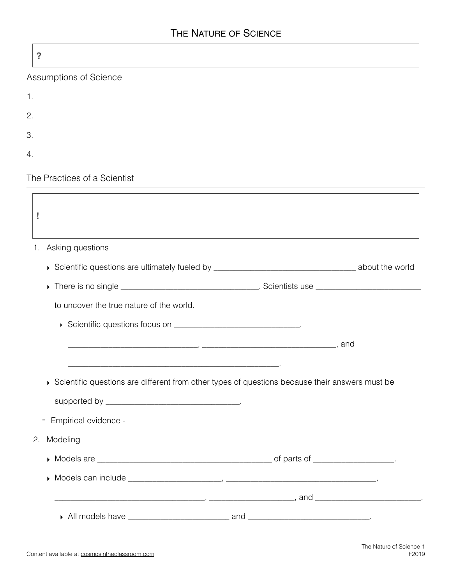## THE NATURE OF SCIENCE

| ?                                        |                                                                                                                                                                                                                                                                                               |
|------------------------------------------|-----------------------------------------------------------------------------------------------------------------------------------------------------------------------------------------------------------------------------------------------------------------------------------------------|
| Assumptions of Science                   |                                                                                                                                                                                                                                                                                               |
| 1.                                       |                                                                                                                                                                                                                                                                                               |
| 2.                                       |                                                                                                                                                                                                                                                                                               |
| 3.                                       |                                                                                                                                                                                                                                                                                               |
| 4.                                       |                                                                                                                                                                                                                                                                                               |
| The Practices of a Scientist             |                                                                                                                                                                                                                                                                                               |
|                                          |                                                                                                                                                                                                                                                                                               |
| 1. Asking questions                      |                                                                                                                                                                                                                                                                                               |
|                                          |                                                                                                                                                                                                                                                                                               |
|                                          |                                                                                                                                                                                                                                                                                               |
| to uncover the true nature of the world. |                                                                                                                                                                                                                                                                                               |
|                                          |                                                                                                                                                                                                                                                                                               |
|                                          |                                                                                                                                                                                                                                                                                               |
| Empirical evidence -<br>Ξ.               | Scientific questions are different from other types of questions because their answers must be                                                                                                                                                                                                |
| Modeling<br>2.                           |                                                                                                                                                                                                                                                                                               |
|                                          |                                                                                                                                                                                                                                                                                               |
|                                          |                                                                                                                                                                                                                                                                                               |
|                                          | $\frac{1}{2}$ and $\frac{1}{2}$ and $\frac{1}{2}$ and $\frac{1}{2}$ and $\frac{1}{2}$ and $\frac{1}{2}$ and $\frac{1}{2}$ and $\frac{1}{2}$ and $\frac{1}{2}$ and $\frac{1}{2}$ and $\frac{1}{2}$ and $\frac{1}{2}$ and $\frac{1}{2}$ and $\frac{1}{2}$ and $\frac{1}{2}$ and $\frac{1}{2}$ a |
|                                          |                                                                                                                                                                                                                                                                                               |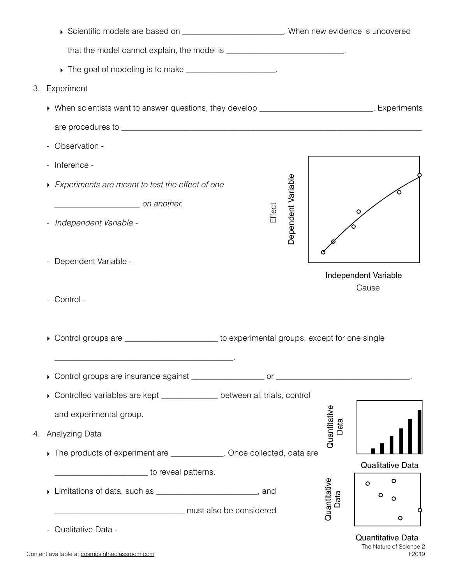| Scientific models are based on _________________________. When new evidence is uncovered          |                         |  |
|---------------------------------------------------------------------------------------------------|-------------------------|--|
| that the model cannot explain, the model is ____________________________.                         |                         |  |
| The goal of modeling is to make _____________________.                                            |                         |  |
| Experiment<br>З.                                                                                  |                         |  |
| • When scientists want to answer questions, they develop ___________________________. Experiments |                         |  |
|                                                                                                   |                         |  |
| Observation -                                                                                     |                         |  |
| Inference -                                                                                       |                         |  |
| Dependent Variable<br>Experiments are meant to test the effect of one                             |                         |  |
| con another.<br>Effect                                                                            |                         |  |
| Independent Variable -                                                                            |                         |  |
| Dependent Variable -<br>$\qquad \qquad -$                                                         | Independent Variable    |  |
| Control -                                                                                         | Cause                   |  |
| Control groups are ________________________ to experimental groups, except for one single         |                         |  |
|                                                                                                   |                         |  |
| Controlled variables are kept _____________ between all trials, control                           |                         |  |
| and experimental group.                                                                           |                         |  |
| Quantitative<br>Analyzing Data<br>4.                                                              | Data                    |  |
| The products of experiment are ____________. Once collected, data are                             |                         |  |
| to reveal patterns.                                                                               | <b>Qualitative Data</b> |  |
| Limitations of data, such as _________________________, and                                       | O<br>O<br>O             |  |
| Quantitative<br>must also be considered                                                           | Data<br>o<br>O          |  |
| Qualitative Data -                                                                                | Quantitative Data       |  |

Content available at [cosmosintheclassroom.com](http://cosmosintheclassroom.com)